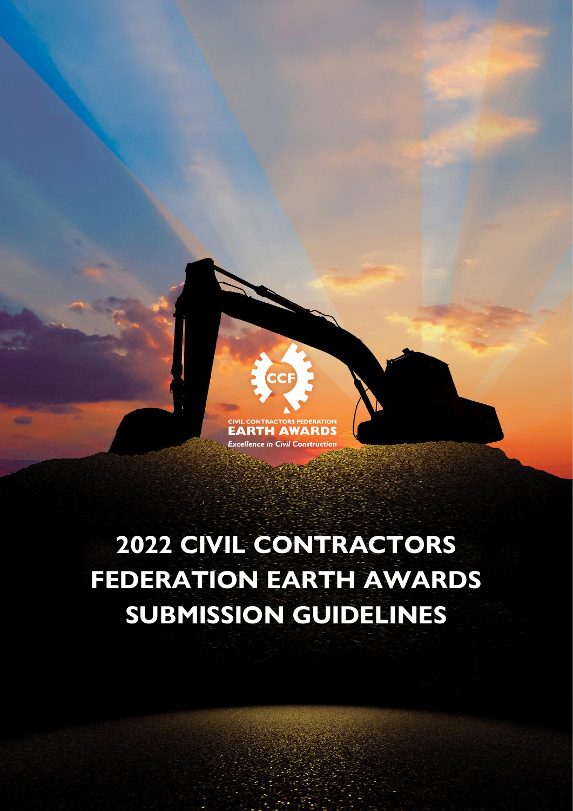

# **2022 CIVIL CONTRACTORS FEDERATION EARTH AWARDS SUBMISSION GUIDELINES**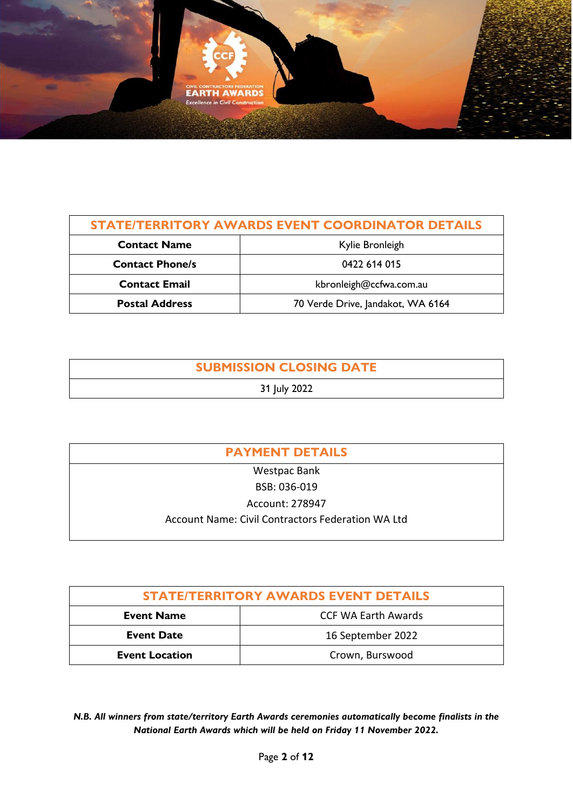

| <b>STATE/TERRITORY AWARDS EVENT COORDINATOR DETAILS</b> |                                   |  |
|---------------------------------------------------------|-----------------------------------|--|
| <b>Contact Name</b>                                     | Kylie Bronleigh                   |  |
| <b>Contact Phone/s</b>                                  | 0422 614 015                      |  |
| <b>Contact Email</b>                                    | kbronleigh@ccfwa.com.au           |  |
| <b>Postal Address</b>                                   | 70 Verde Drive, Jandakot, WA 6164 |  |

# **SUBMISSION CLOSING DATE**

# 31 July 2022

| <b>PAYMENT DETAILS</b>                            |  |  |
|---------------------------------------------------|--|--|
| <b>Westpac Bank</b>                               |  |  |
| BSB: 036-019                                      |  |  |
| Account: 278947                                   |  |  |
| Account Name: Civil Contractors Federation WA Ltd |  |  |

| <b>STATE/TERRITORY AWARDS EVENT DETAILS</b> |                            |
|---------------------------------------------|----------------------------|
| <b>Event Name</b>                           | <b>CCF WA Earth Awards</b> |
| <b>Event Date</b>                           | 16 September 2022          |
| <b>Event Location</b>                       | Crown, Burswood            |

*N.B. All winners from state/territory Earth Awards ceremonies automatically become finalists in the National Earth Awards which will be held on Friday 11 November 2022.*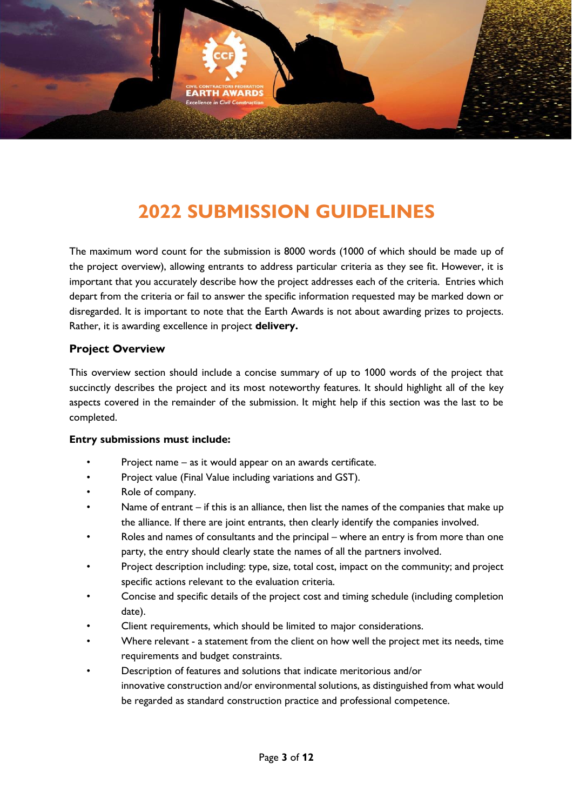

# **2022 SUBMISSION GUIDELINES**

The maximum word count for the submission is 8000 words (1000 of which should be made up of the project overview), allowing entrants to address particular criteria as they see fit. However, it is important that you accurately describe how the project addresses each of the criteria. Entries which depart from the criteria or fail to answer the specific information requested may be marked down or disregarded. It is important to note that the Earth Awards is not about awarding prizes to projects. Rather, it is awarding excellence in project **delivery.**

#### **Project Overview**

This overview section should include a concise summary of up to 1000 words of the project that succinctly describes the project and its most noteworthy features. It should highlight all of the key aspects covered in the remainder of the submission. It might help if this section was the last to be completed.

#### **Entry submissions must include:**

- Project name as it would appear on an awards certificate.
- Project value (Final Value including variations and GST).
- Role of company.
- Name of entrant if this is an alliance, then list the names of the companies that make up the alliance. If there are joint entrants, then clearly identify the companies involved.
- Roles and names of consultants and the principal where an entry is from more than one party, the entry should clearly state the names of all the partners involved.
- Project description including: type, size, total cost, impact on the community; and project specific actions relevant to the evaluation criteria.
- Concise and specific details of the project cost and timing schedule (including completion date).
- Client requirements, which should be limited to major considerations.
- Where relevant a statement from the client on how well the project met its needs, time requirements and budget constraints.
- Description of features and solutions that indicate meritorious and/or innovative construction and/or environmental solutions, as distinguished from what would be regarded as standard construction practice and professional competence.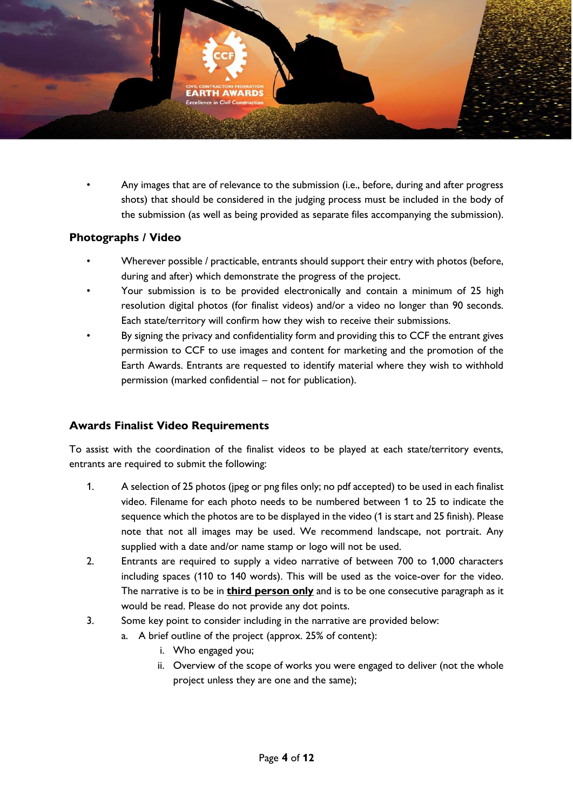

• Any images that are of relevance to the submission (i.e., before, during and after progress shots) that should be considered in the judging process must be included in the body of the submission (as well as being provided as separate files accompanying the submission).

#### **Photographs / Video**

- Wherever possible / practicable, entrants should support their entry with photos (before, during and after) which demonstrate the progress of the project.
- Your submission is to be provided electronically and contain a minimum of 25 high resolution digital photos (for finalist videos) and/or a video no longer than 90 seconds. Each state/territory will confirm how they wish to receive their submissions.
- By signing the privacy and confidentiality form and providing this to CCF the entrant gives permission to CCF to use images and content for marketing and the promotion of the Earth Awards. Entrants are requested to identify material where they wish to withhold permission (marked confidential – not for publication).

### **Awards Finalist Video Requirements**

To assist with the coordination of the finalist videos to be played at each state/territory events, entrants are required to submit the following:

- 1. A selection of 25 photos (jpeg or png files only; no pdf accepted) to be used in each finalist video. Filename for each photo needs to be numbered between 1 to 25 to indicate the sequence which the photos are to be displayed in the video (1 is start and 25 finish). Please note that not all images may be used. We recommend landscape, not portrait. Any supplied with a date and/or name stamp or logo will not be used.
- 2. Entrants are required to supply a video narrative of between 700 to 1,000 characters including spaces (110 to 140 words). This will be used as the voice-over for the video. The narrative is to be in **third person only** and is to be one consecutive paragraph as it would be read. Please do not provide any dot points.
- 3. Some key point to consider including in the narrative are provided below:
	- a. A brief outline of the project (approx. 25% of content):
		- i. Who engaged you;
		- ii. Overview of the scope of works you were engaged to deliver (not the whole project unless they are one and the same);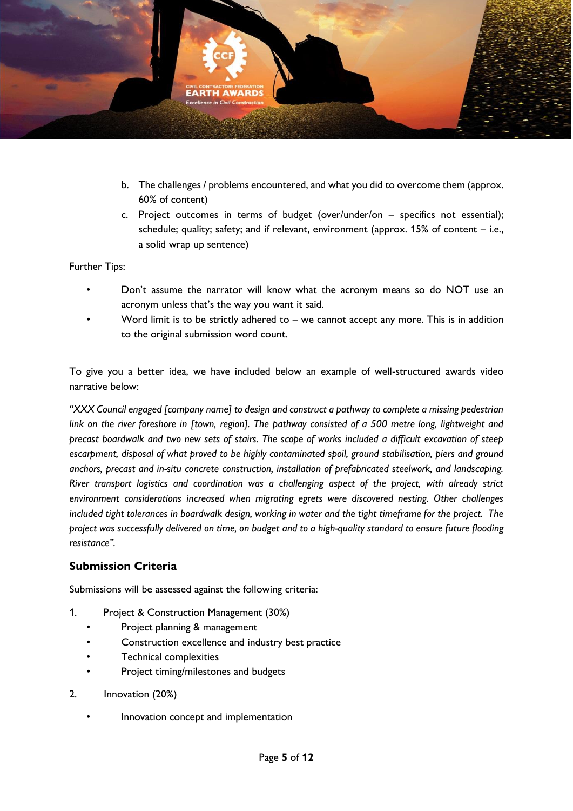

- b. The challenges / problems encountered, and what you did to overcome them (approx. 60% of content)
- c. Project outcomes in terms of budget (over/under/on specifics not essential); schedule; quality; safety; and if relevant, environment (approx. 15% of content – i.e., a solid wrap up sentence)

Further Tips:

- Don't assume the narrator will know what the acronym means so do NOT use an acronym unless that's the way you want it said.
- Word limit is to be strictly adhered to we cannot accept any more. This is in addition to the original submission word count.

To give you a better idea, we have included below an example of well-structured awards video narrative below:

*"XXX Council engaged [company name] to design and construct a pathway to complete a missing pedestrian link on the river foreshore in [town, region]. The pathway consisted of a 500 metre long, lightweight and precast boardwalk and two new sets of stairs. The scope of works included a difficult excavation of steep escarpment, disposal of what proved to be highly contaminated spoil, ground stabilisation, piers and ground anchors, precast and in-situ concrete construction, installation of prefabricated steelwork, and landscaping. River transport logistics and coordination was a challenging aspect of the project, with already strict environment considerations increased when migrating egrets were discovered nesting. Other challenges included tight tolerances in boardwalk design, working in water and the tight timeframe for the project. The project was successfully delivered on time, on budget and to a high-quality standard to ensure future flooding resistance".*

### **Submission Criteria**

Submissions will be assessed against the following criteria:

- 1. Project & Construction Management (30%)
	- Project planning & management
	- Construction excellence and industry best practice
	- Technical complexities
	- Project timing/milestones and budgets
- 2. Innovation (20%)
	- Innovation concept and implementation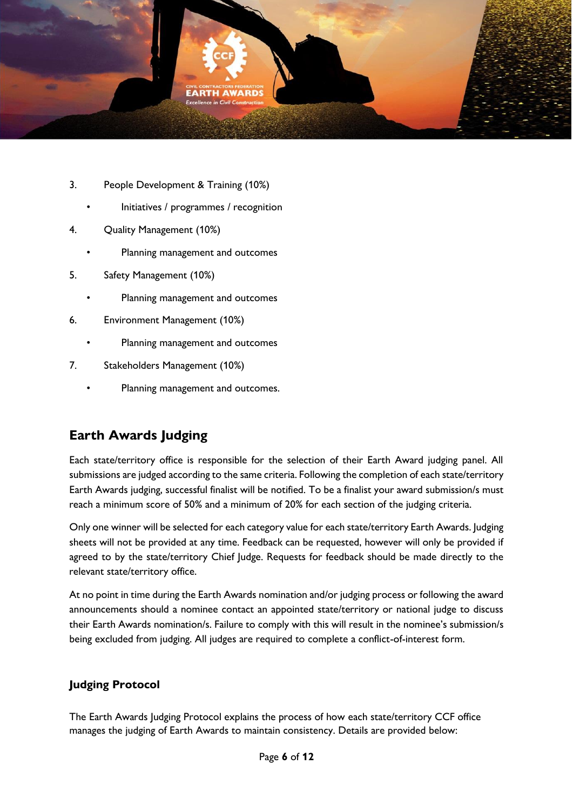

- 3. People Development & Training (10%)
	- Initiatives / programmes / recognition
- 4. Quality Management (10%)
	- Planning management and outcomes
- 5. Safety Management (10%)
	- Planning management and outcomes
- 6. Environment Management (10%)
	- Planning management and outcomes
- 7. Stakeholders Management (10%)
	- Planning management and outcomes.

# **Earth Awards Judging**

Each state/territory office is responsible for the selection of their Earth Award judging panel. All submissions are judged according to the same criteria. Following the completion of each state/territory Earth Awards judging, successful finalist will be notified. To be a finalist your award submission/s must reach a minimum score of 50% and a minimum of 20% for each section of the judging criteria.

Only one winner will be selected for each category value for each state/territory Earth Awards. Judging sheets will not be provided at any time. Feedback can be requested, however will only be provided if agreed to by the state/territory Chief Judge. Requests for feedback should be made directly to the relevant state/territory office.

At no point in time during the Earth Awards nomination and/or judging process or following the award announcements should a nominee contact an appointed state/territory or national judge to discuss their Earth Awards nomination/s. Failure to comply with this will result in the nominee's submission/s being excluded from judging. All judges are required to complete a conflict-of-interest form.

# **Judging Protocol**

The Earth Awards Judging Protocol explains the process of how each state/territory CCF office manages the judging of Earth Awards to maintain consistency. Details are provided below: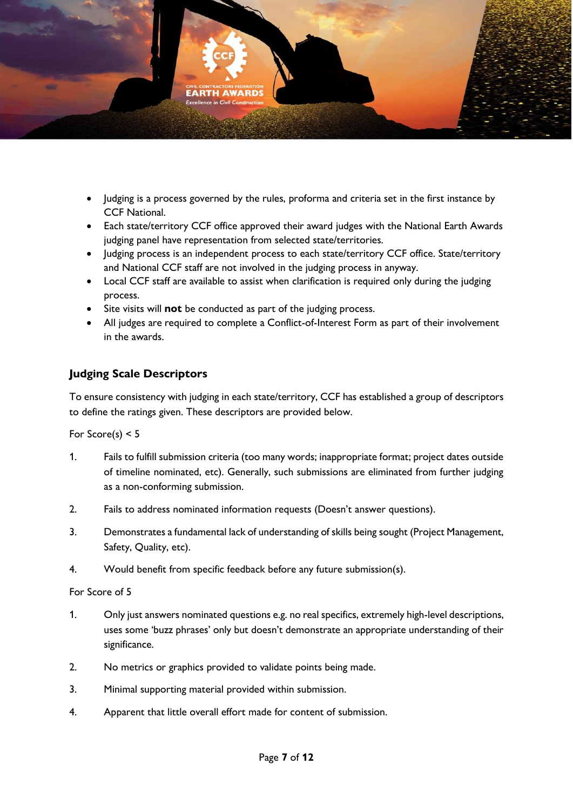

- Judging is a process governed by the rules, proforma and criteria set in the first instance by CCF National.
- Each state/territory CCF office approved their award judges with the National Earth Awards judging panel have representation from selected state/territories.
- Judging process is an independent process to each state/territory CCF office. State/territory and National CCF staff are not involved in the judging process in anyway.
- Local CCF staff are available to assist when clarification is required only during the judging process.
- Site visits will **not** be conducted as part of the judging process.
- All judges are required to complete a Conflict-of-Interest Form as part of their involvement in the awards.

## **Judging Scale Descriptors**

To ensure consistency with judging in each state/territory, CCF has established a group of descriptors to define the ratings given. These descriptors are provided below.

For Score(s)  $< 5$ 

- 1. Fails to fulfill submission criteria (too many words; inappropriate format; project dates outside of timeline nominated, etc). Generally, such submissions are eliminated from further judging as a non-conforming submission.
- 2. Fails to address nominated information requests (Doesn't answer questions).
- 3. Demonstrates a fundamental lack of understanding of skills being sought (Project Management, Safety, Quality, etc).
- 4. Would benefit from specific feedback before any future submission(s).

For Score of 5

- 1. Only just answers nominated questions e.g. no real specifics, extremely high-level descriptions, uses some 'buzz phrases' only but doesn't demonstrate an appropriate understanding of their significance.
- 2. No metrics or graphics provided to validate points being made.
- 3. Minimal supporting material provided within submission.
- 4. Apparent that little overall effort made for content of submission.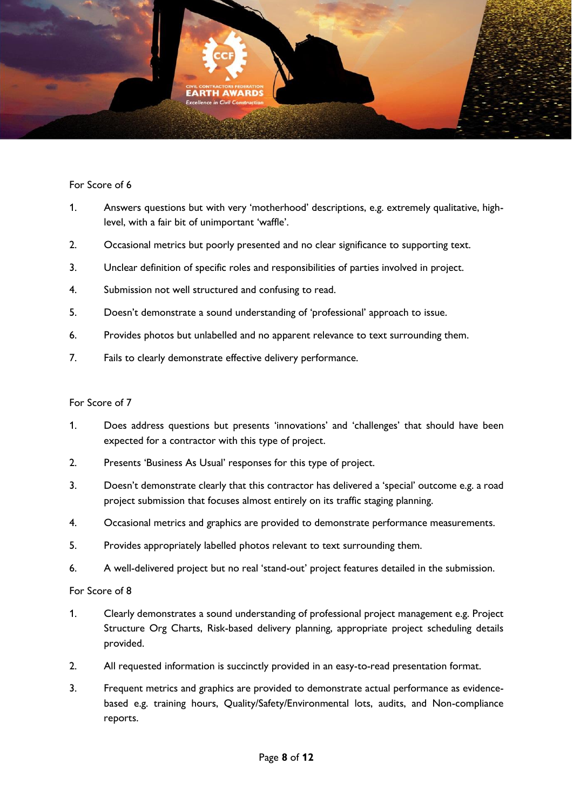

#### For Score of 6

- 1. Answers questions but with very 'motherhood' descriptions, e.g. extremely qualitative, highlevel, with a fair bit of unimportant 'waffle'.
- 2. Occasional metrics but poorly presented and no clear significance to supporting text.
- 3. Unclear definition of specific roles and responsibilities of parties involved in project.
- 4. Submission not well structured and confusing to read.
- 5. Doesn't demonstrate a sound understanding of 'professional' approach to issue.
- 6. Provides photos but unlabelled and no apparent relevance to text surrounding them.
- 7. Fails to clearly demonstrate effective delivery performance.

#### For Score of 7

- 1. Does address questions but presents 'innovations' and 'challenges' that should have been expected for a contractor with this type of project.
- 2. Presents 'Business As Usual' responses for this type of project.
- 3. Doesn't demonstrate clearly that this contractor has delivered a 'special' outcome e.g. a road project submission that focuses almost entirely on its traffic staging planning.
- 4. Occasional metrics and graphics are provided to demonstrate performance measurements.
- 5. Provides appropriately labelled photos relevant to text surrounding them.
- 6. A well-delivered project but no real 'stand-out' project features detailed in the submission.

For Score of 8

- 1. Clearly demonstrates a sound understanding of professional project management e.g. Project Structure Org Charts, Risk-based delivery planning, appropriate project scheduling details provided.
- 2. All requested information is succinctly provided in an easy-to-read presentation format.
- 3. Frequent metrics and graphics are provided to demonstrate actual performance as evidencebased e.g. training hours, Quality/Safety/Environmental lots, audits, and Non-compliance reports.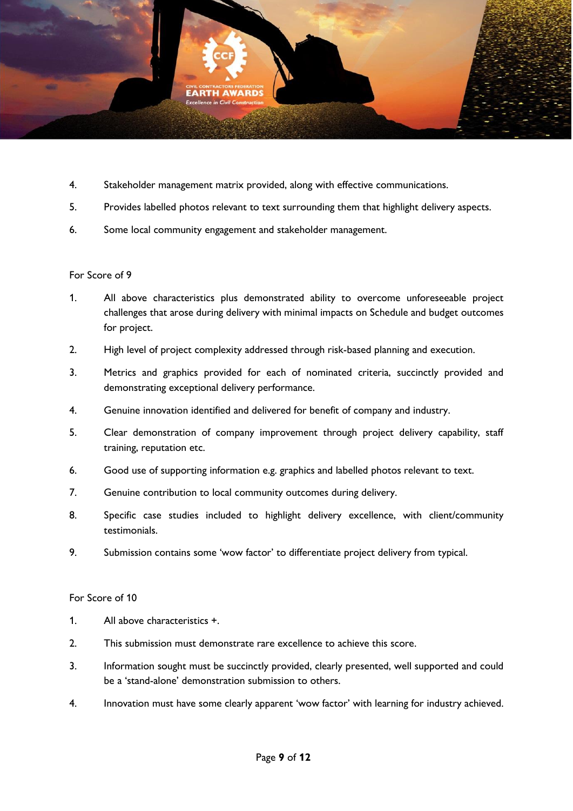

- 4. Stakeholder management matrix provided, along with effective communications.
- 5. Provides labelled photos relevant to text surrounding them that highlight delivery aspects.
- 6. Some local community engagement and stakeholder management.

#### For Score of 9

- 1. All above characteristics plus demonstrated ability to overcome unforeseeable project challenges that arose during delivery with minimal impacts on Schedule and budget outcomes for project.
- 2. High level of project complexity addressed through risk-based planning and execution.
- 3. Metrics and graphics provided for each of nominated criteria, succinctly provided and demonstrating exceptional delivery performance.
- 4. Genuine innovation identified and delivered for benefit of company and industry.
- 5. Clear demonstration of company improvement through project delivery capability, staff training, reputation etc.
- 6. Good use of supporting information e.g. graphics and labelled photos relevant to text.
- 7. Genuine contribution to local community outcomes during delivery.
- 8. Specific case studies included to highlight delivery excellence, with client/community testimonials.
- 9. Submission contains some 'wow factor' to differentiate project delivery from typical.

#### For Score of 10

- 1. All above characteristics +.
- 2. This submission must demonstrate rare excellence to achieve this score.
- 3. Information sought must be succinctly provided, clearly presented, well supported and could be a 'stand-alone' demonstration submission to others.
- 4. Innovation must have some clearly apparent 'wow factor' with learning for industry achieved.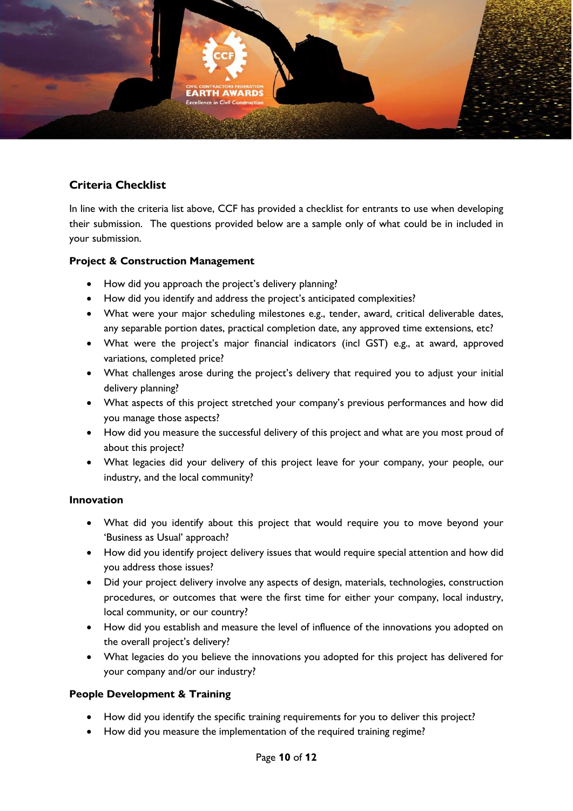

# **Criteria Checklist**

In line with the criteria list above, CCF has provided a checklist for entrants to use when developing their submission. The questions provided below are a sample only of what could be in included in your submission.

#### **Project & Construction Management**

- How did you approach the project's delivery planning?
- How did you identify and address the project's anticipated complexities?
- What were your major scheduling milestones e.g., tender, award, critical deliverable dates, any separable portion dates, practical completion date, any approved time extensions, etc?
- What were the project's major financial indicators (incl GST) e.g., at award, approved variations, completed price?
- What challenges arose during the project's delivery that required you to adjust your initial delivery planning?
- What aspects of this project stretched your company's previous performances and how did you manage those aspects?
- How did you measure the successful delivery of this project and what are you most proud of about this project?
- What legacies did your delivery of this project leave for your company, your people, our industry, and the local community?

#### **Innovation**

- What did you identify about this project that would require you to move beyond your 'Business as Usual' approach?
- How did you identify project delivery issues that would require special attention and how did you address those issues?
- Did your project delivery involve any aspects of design, materials, technologies, construction procedures, or outcomes that were the first time for either your company, local industry, local community, or our country?
- How did you establish and measure the level of influence of the innovations you adopted on the overall project's delivery?
- What legacies do you believe the innovations you adopted for this project has delivered for your company and/or our industry?

### **People Development & Training**

- How did you identify the specific training requirements for you to deliver this project?
- How did you measure the implementation of the required training regime?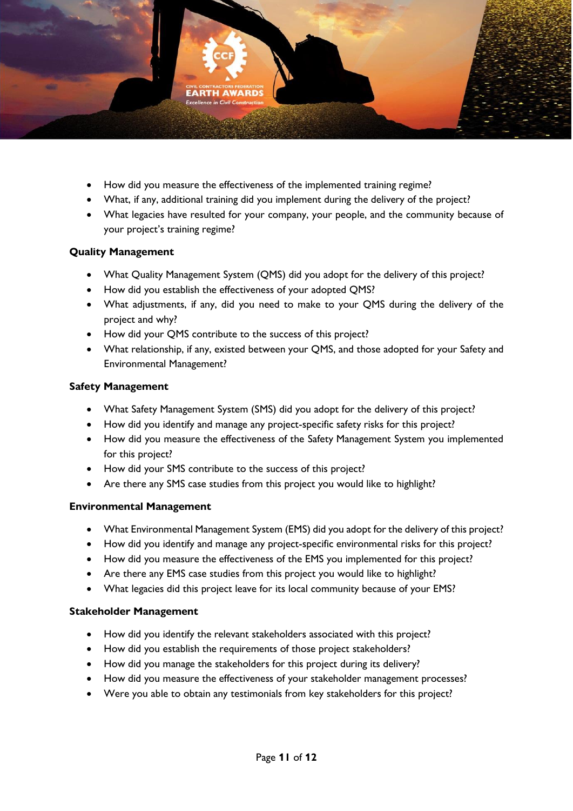

- How did you measure the effectiveness of the implemented training regime?
- What, if any, additional training did you implement during the delivery of the project?
- What legacies have resulted for your company, your people, and the community because of your project's training regime?

#### **Quality Management**

- What Quality Management System (QMS) did you adopt for the delivery of this project?
- How did you establish the effectiveness of your adopted QMS?
- What adjustments, if any, did you need to make to your QMS during the delivery of the project and why?
- How did your QMS contribute to the success of this project?
- What relationship, if any, existed between your QMS, and those adopted for your Safety and Environmental Management?

#### **Safety Management**

- What Safety Management System (SMS) did you adopt for the delivery of this project?
- How did you identify and manage any project-specific safety risks for this project?
- How did you measure the effectiveness of the Safety Management System you implemented for this project?
- How did your SMS contribute to the success of this project?
- Are there any SMS case studies from this project you would like to highlight?

#### **Environmental Management**

- What Environmental Management System (EMS) did you adopt for the delivery of this project?
- How did you identify and manage any project-specific environmental risks for this project?
- How did you measure the effectiveness of the EMS you implemented for this project?
- Are there any EMS case studies from this project you would like to highlight?
- What legacies did this project leave for its local community because of your EMS?

#### **Stakeholder Management**

- How did you identify the relevant stakeholders associated with this project?
- How did you establish the requirements of those project stakeholders?
- How did you manage the stakeholders for this project during its delivery?
- How did you measure the effectiveness of your stakeholder management processes?
- Were you able to obtain any testimonials from key stakeholders for this project?